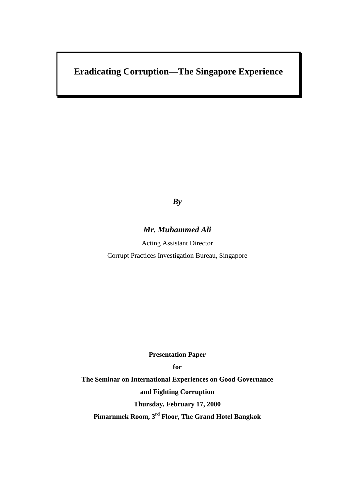# **Eradicating Corruption—The Singapore Experience**

## *By*

### *Mr. Muhammed Ali*

Acting Assistant Director Corrupt Practices Investigation Bureau, Singapore

**Presentation Paper**

**for**

**The Seminar on International Experiences on Good Governance and Fighting Corruption Thursday, February 17, 2000 Pimarnmek Room, 3rd Floor, The Grand Hotel Bangkok**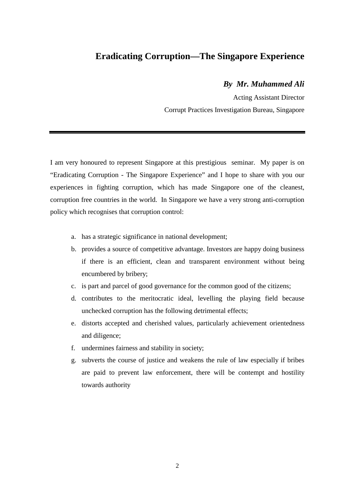## **Eradicating Corruption—The Singapore Experience**

### *By Mr. Muhammed Ali*

Acting Assistant Director Corrupt Practices Investigation Bureau, Singapore

I am very honoured to represent Singapore at this prestigious seminar. My paper is on "Eradicating Corruption - The Singapore Experience" and I hope to share with you our experiences in fighting corruption, which has made Singapore one of the cleanest, corruption free countries in the world. In Singapore we have a very strong anti-corruption policy which recognises that corruption control:

- a. has a strategic significance in national development;
- b. provides a source of competitive advantage. Investors are happy doing business if there is an efficient, clean and transparent environment without being encumbered by bribery;
- c. is part and parcel of good governance for the common good of the citizens;
- d. contributes to the meritocratic ideal, levelling the playing field because unchecked corruption has the following detrimental effects;
- e. distorts accepted and cherished values, particularly achievement orientedness and diligence;
- f. undermines fairness and stability in society;
- g. subverts the course of justice and weakens the rule of law especially if bribes are paid to prevent law enforcement, there will be contempt and hostility towards authority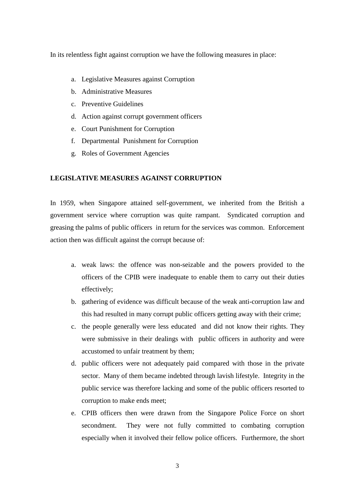In its relentless fight against corruption we have the following measures in place:

- a. Legislative Measures against Corruption
- b. Administrative Measures
- c. Preventive Guidelines
- d. Action against corrupt government officers
- e. Court Punishment for Corruption
- f. Departmental Punishment for Corruption
- g. Roles of Government Agencies

#### **LEGISLATIVE MEASURES AGAINST CORRUPTION**

In 1959, when Singapore attained self-government, we inherited from the British a government service where corruption was quite rampant. Syndicated corruption and greasing the palms of public officers in return for the services was common. Enforcement action then was difficult against the corrupt because of:

- a. weak laws: the offence was non-seizable and the powers provided to the officers of the CPIB were inadequate to enable them to carry out their duties effectively;
- b. gathering of evidence was difficult because of the weak anti-corruption law and this had resulted in many corrupt public officers getting away with their crime;
- c. the people generally were less educated and did not know their rights. They were submissive in their dealings with public officers in authority and were accustomed to unfair treatment by them;
- d. public officers were not adequately paid compared with those in the private sector. Many of them became indebted through lavish lifestyle. Integrity in the public service was therefore lacking and some of the public officers resorted to corruption to make ends meet;
- e. CPIB officers then were drawn from the Singapore Police Force on short secondment. They were not fully committed to combating corruption especially when it involved their fellow police officers. Furthermore, the short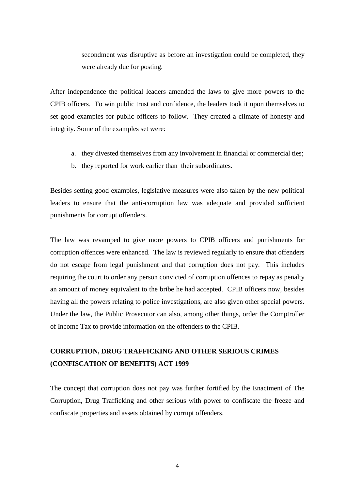secondment was disruptive as before an investigation could be completed, they were already due for posting.

After independence the political leaders amended the laws to give more powers to the CPIB officers. To win public trust and confidence, the leaders took it upon themselves to set good examples for public officers to follow. They created a climate of honesty and integrity. Some of the examples set were:

- a. they divested themselves from any involvement in financial or commercial ties;
- b. they reported for work earlier than their subordinates.

Besides setting good examples, legislative measures were also taken by the new political leaders to ensure that the anti-corruption law was adequate and provided sufficient punishments for corrupt offenders.

The law was revamped to give more powers to CPIB officers and punishments for corruption offences were enhanced. The law is reviewed regularly to ensure that offenders do not escape from legal punishment and that corruption does not pay. This includes requiring the court to order any person convicted of corruption offences to repay as penalty an amount of money equivalent to the bribe he had accepted. CPIB officers now, besides having all the powers relating to police investigations, are also given other special powers. Under the law, the Public Prosecutor can also, among other things, order the Comptroller of Income Tax to provide information on the offenders to the CPIB.

## **CORRUPTION, DRUG TRAFFICKING AND OTHER SERIOUS CRIMES (CONFISCATION OF BENEFITS) ACT 1999**

The concept that corruption does not pay was further fortified by the Enactment of The Corruption, Drug Trafficking and other serious with power to confiscate the freeze and confiscate properties and assets obtained by corrupt offenders.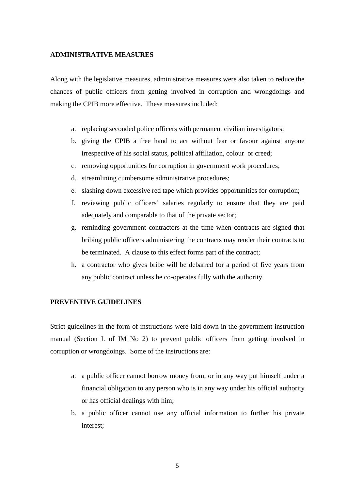#### **ADMINISTRATIVE MEASURES**

Along with the legislative measures, administrative measures were also taken to reduce the chances of public officers from getting involved in corruption and wrongdoings and making the CPIB more effective. These measures included:

- a. replacing seconded police officers with permanent civilian investigators;
- b. giving the CPIB a free hand to act without fear or favour against anyone irrespective of his social status, political affiliation, colour or creed;
- c. removing opportunities for corruption in government work procedures;
- d. streamlining cumbersome administrative procedures;
- e. slashing down excessive red tape which provides opportunities for corruption;
- f. reviewing public officers' salaries regularly to ensure that they are paid adequately and comparable to that of the private sector;
- g. reminding government contractors at the time when contracts are signed that bribing public officers administering the contracts may render their contracts to be terminated. A clause to this effect forms part of the contract;
- h. a contractor who gives bribe will be debarred for a period of five years from any public contract unless he co-operates fully with the authority.

#### **PREVENTIVE GUIDELINES**

Strict guidelines in the form of instructions were laid down in the government instruction manual (Section L of IM No 2) to prevent public officers from getting involved in corruption or wrongdoings. Some of the instructions are:

- a. a public officer cannot borrow money from, or in any way put himself under a financial obligation to any person who is in any way under his official authority or has official dealings with him;
- b. a public officer cannot use any official information to further his private interest;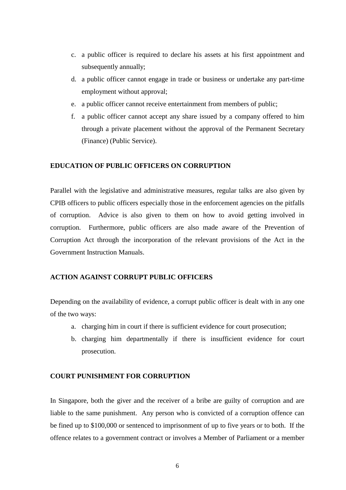- c. a public officer is required to declare his assets at his first appointment and subsequently annually;
- d. a public officer cannot engage in trade or business or undertake any part-time employment without approval;
- e. a public officer cannot receive entertainment from members of public;
- f. a public officer cannot accept any share issued by a company offered to him through a private placement without the approval of the Permanent Secretary (Finance) (Public Service).

#### **EDUCATION OF PUBLIC OFFICERS ON CORRUPTION**

Parallel with the legislative and administrative measures, regular talks are also given by CPIB officers to public officers especially those in the enforcement agencies on the pitfalls of corruption. Advice is also given to them on how to avoid getting involved in corruption. Furthermore, public officers are also made aware of the Prevention of Corruption Act through the incorporation of the relevant provisions of the Act in the Government Instruction Manuals.

#### **ACTION AGAINST CORRUPT PUBLIC OFFICERS**

Depending on the availability of evidence, a corrupt public officer is dealt with in any one of the two ways:

- a. charging him in court if there is sufficient evidence for court prosecution;
- b. charging him departmentally if there is insufficient evidence for court prosecution.

#### **COURT PUNISHMENT FOR CORRUPTION**

In Singapore, both the giver and the receiver of a bribe are guilty of corruption and are liable to the same punishment. Any person who is convicted of a corruption offence can be fined up to \$100,000 or sentenced to imprisonment of up to five years or to both. If the offence relates to a government contract or involves a Member of Parliament or a member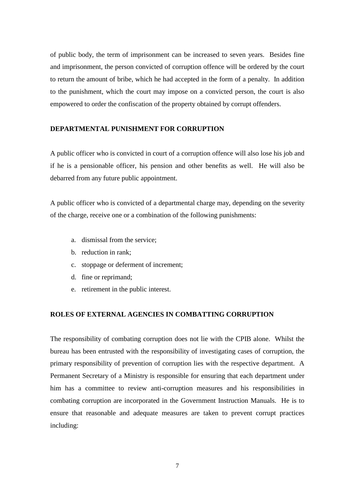of public body, the term of imprisonment can be increased to seven years. Besides fine and imprisonment, the person convicted of corruption offence will be ordered by the court to return the amount of bribe, which he had accepted in the form of a penalty. In addition to the punishment, which the court may impose on a convicted person, the court is also empowered to order the confiscation of the property obtained by corrupt offenders.

#### **DEPARTMENTAL PUNISHMENT FOR CORRUPTION**

A public officer who is convicted in court of a corruption offence will also lose his job and if he is a pensionable officer, his pension and other benefits as well. He will also be debarred from any future public appointment.

A public officer who is convicted of a departmental charge may, depending on the severity of the charge, receive one or a combination of the following punishments:

- a. dismissal from the service;
- b. reduction in rank;
- c. stoppage or deferment of increment;
- d. fine or reprimand;
- e. retirement in the public interest.

#### **ROLES OF EXTERNAL AGENCIES IN COMBATTING CORRUPTION**

The responsibility of combating corruption does not lie with the CPIB alone. Whilst the bureau has been entrusted with the responsibility of investigating cases of corruption, the primary responsibility of prevention of corruption lies with the respective department. A Permanent Secretary of a Ministry is responsible for ensuring that each department under him has a committee to review anti-corruption measures and his responsibilities in combating corruption are incorporated in the Government Instruction Manuals. He is to ensure that reasonable and adequate measures are taken to prevent corrupt practices including: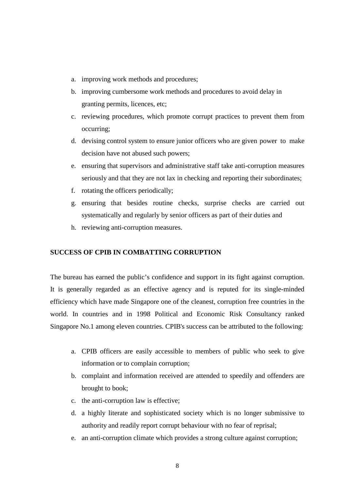- a. improving work methods and procedures;
- b. improving cumbersome work methods and procedures to avoid delay in granting permits, licences, etc;
- c. reviewing procedures, which promote corrupt practices to prevent them from occurring;
- d. devising control system to ensure junior officers who are given power to make decision have not abused such powers;
- e. ensuring that supervisors and administrative staff take anti-corruption measures seriously and that they are not lax in checking and reporting their subordinates;
- f. rotating the officers periodically;
- g. ensuring that besides routine checks, surprise checks are carried out systematically and regularly by senior officers as part of their duties and
- h. reviewing anti-corruption measures.

#### **SUCCESS OF CPIB IN COMBATTING CORRUPTION**

The bureau has earned the public's confidence and support in its fight against corruption. It is generally regarded as an effective agency and is reputed for its single-minded efficiency which have made Singapore one of the cleanest, corruption free countries in the world. In countries and in 1998 Political and Economic Risk Consultancy ranked Singapore No.1 among eleven countries. CPIB's success can be attributed to the following:

- a. CPIB officers are easily accessible to members of public who seek to give information or to complain corruption;
- b. complaint and information received are attended to speedily and offenders are brought to book;
- c. the anti-corruption law is effective;
- d. a highly literate and sophisticated society which is no longer submissive to authority and readily report corrupt behaviour with no fear of reprisal;
- e. an anti-corruption climate which provides a strong culture against corruption;